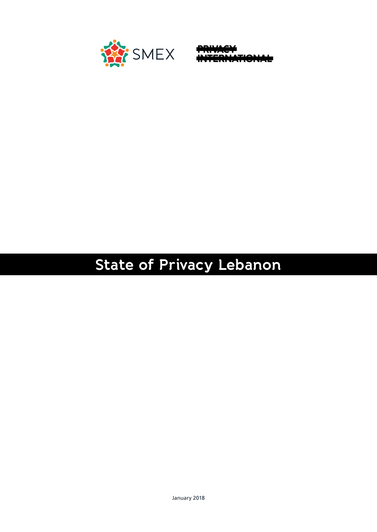

**10NAE** 

# **State of Privacy Lebanon**

January 2018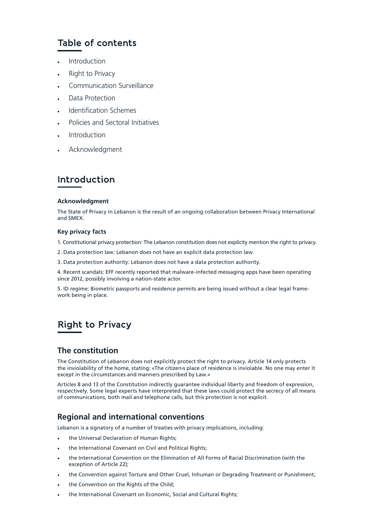# **Table of contents**

- **Introduction**
- Right to Privacy
- Communication Surveillance
- Data Protection
- Identification Schemes
- Policies and Sectoral Initiatives
- **Introduction**
- **Acknowledgment**

# **Introduction**

#### **Acknowledgment**

The State of Privacy in Lebanon is the result of an ongoing collaboration between Privacy International and SMEX.

#### **Key privacy facts**

- 1. Constitutional privacy protection: The Lebanon constitution does not explicity mention the right to privacy.
- 2. Data protection law: Lebanon does not have an explicit data protection law.
- 3. Data protection authority: Lebanon does not have a data protection authority.

4. Recent scandals: EFF recently reported that malware-infected messaging apps have been operating since 2012, possibly involving a nation-state actor.

5. ID regime: Biometric passports and residence permits are being issued without a clear legal framework being in place.

# **Right to Privacy**

# **The constitution**

The Constitution of Lebanon does not explicitly protect the right to privacy. Article 14 only protects the inviolability of the home, stating: «The citizen›s place of residence is inviolable. No one may enter it except in the circumstances and manners prescribed by Law.»

Articles 8 and 13 of the Constitution indirectly guarantee individual liberty and freedom of expression, respectively. Some legal experts have interpreted that these laws could protect the secrecy of all means of communications, both mail and telephone calls, but this protection is not explicit.

# **Regional and international conventions**

Lebanon is a signatory of a number of treaties with privacy implications, including:

- the Universal Declaration of Human Rights;
- the International Covenant on Civil and Political Rights;
- the International Convention on the Elimination of All Forms of Racial Discrimination (with the exception of Article 22);
- the Convention against Torture and Other Cruel, Inhuman or Degrading Treatment or Punishment;
- the Convention on the Rights of the Child;
- the International Covenant on Economic, Social and Cultural Rights;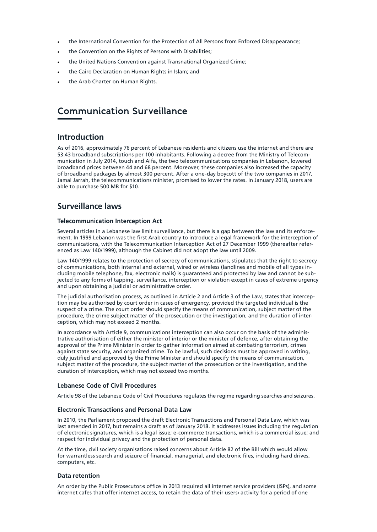- the International Convention for the Protection of All Persons from Enforced Disappearance;
- the Convention on the Rights of Persons with Disabilities;
- the United Nations Convention against Transnational Organized Crime;
- the Cairo Declaration on Human Rights in Islam; and
- the Arab Charter on Human Rights.

# **Communication Surveillance**

#### **Introduction**

As of 2016, approximately 76 percent of Lebanese residents and citizens use the internet and there are 53.43 broadband subscriptions per 100 inhabitants. Following a decree from the Ministry of Telecommunication in July 2014, touch and Alfa, the two telecommunications companies in Lebanon, lowered broadband prices between 44 and 68 percent. Moreover, these companies also increased the capacity of broadband packages by almost 300 percent. After a one-day boycott of the two companies in 2017, Jamal Jarrah, the telecommunications minister, promised to lower the rates. In January 2018, users are able to purchase 500 MB for \$10.

### **Surveillance laws**

#### **Telecommunication Interception Act**

Several articles in a Lebanese law limit surveillance, but there is a gap between the law and its enforcement. In 1999 Lebanon was the first Arab country to introduce a legal framework for the interception of communications, with the Telecommunication Interception Act of 27 December 1999 (thereafter referenced as Law 140/1999), although the Cabinet did not adopt the law until 2009.

Law 140/1999 relates to the protection of secrecy of communications, stipulates that the right to secrecy of communications, both internal and external, wired or wireless (landlines and mobile of all types including mobile telephone, fax, electronic mails) is guaranteed and protected by law and cannot be subjected to any forms of tapping, surveillance, interception or violation except in cases of extreme urgency and upon obtaining a judicial or administrative order.

The judicial authorisation process, as outlined in Article 2 and Article 3 of the Law, states that interception may be authorised by court order in cases of emergency, provided the targeted individual is the suspect of a crime. The court order should specify the means of communication, subject matter of the procedure, the crime subject matter of the prosecution or the investigation, and the duration of interception, which may not exceed 2 months.

In accordance with Article 9, communications interception can also occur on the basis of the administrative authorisation of either the minister of interior or the minister of defence, after obtaining the approval of the Prime Minister in order to gather information aimed at combating terrorism, crimes against state security, and organized crime. To be lawful, such decisions must be approved in writing, duly justified and approved by the Prime Minister and should specify the means of communication, subject matter of the procedure, the subject matter of the prosecution or the investigation, and the duration of interception, which may not exceed two months.

#### **Lebanese Code of Civil Procedures**

Article 98 of the Lebanese Code of Civil Procedures regulates the regime regarding searches and seizures.

#### **Electronic Transactions and Personal Data Law**

In 2010, the Parliament proposed the draft Electronic Transactions and Personal Data Law, which was last amended in 2017, but remains a draft as of January 2018. It addresses issues including the regulation of electronic signatures, which is a legal issue; e-commerce transactions, which is a commercial issue; and respect for individual privacy and the protection of personal data.

At the time, civil society organisations raised concerns about Article 82 of the Bill which would allow for warrantless search and seizure of financial, managerial, and electronic files, including hard drives, computers, etc.

#### **Data retention**

An order by the Public Prosecutory office in 2013 required all internet service providers (ISPs), and some internet cafes that offer internet access, to retain the data of their users› activity for a period of one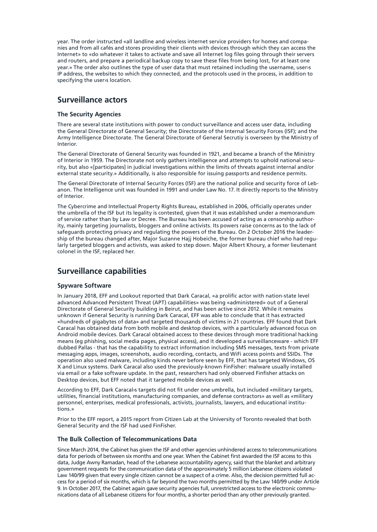year. The order instructed «all landline and wireless internet service providers for homes and companies and from all cafés and stores providing their clients with devices through which they can access the Internet» to «do whatever it takes to activate and save all Internet log files going through their servers and routers, and prepare a periodical backup copy to save these files from being lost, for at least one year.» The order also outlines the type of user data that must retained including the username, user›s IP address, the websites to which they connected, and the protocols used in the process, in addition to specifying the user›s location.

#### **Surveillance actors**

#### **The Security Agencies**

There are several state institutions with power to conduct surveillance and access user data, including the General Directorate of General Security; the Directorate of the Internal Security Forces (ISF); and the Army Intelligence Directorate. The General Directorate of General Secrutiy is overseen by the Ministry of Interior.

The General Directorate of General Security was founded in 1921, and became a branch of the Ministry of Interior in 1959. The Directorate not only gathers intelligence and attempts to uphold national security, but also «[participates] in judicial investigations within the limits of threats against internal and/or external state security.» Additionally, is also responsible for issuing passports and residence permits.

The General Directorate of Internal Security Forces (ISF) are the national police and security force of Lebanon. The Intelligence unit was founded in 1991 and under Law No. 17. It directly reports to the Ministry of Interior.

The Cybercrime and Intellectual Property Rights Bureau, established in 2006, officially operates under the umbrella of the ISF but its legality is contested, given that it was established under a memorandum of service rather than by Law or Decree. The Bureau has been accused of acting as a censorship authority, mainly targeting journalists, bloggers and online activists. Its powers raise concerns as to the lack of safeguards protecting privacy and regulating the powers of the Bureau. On 2 October 2016 the leadership of the bureau changed after, Major Suzanne Hajj Hobeiche, the former bureau chief who had regularly targeted bloggers and activists, was asked to step down. Major Albert Khoury, a former lieutenant colonel in the ISF, replaced her.

### **Surveillance capabilities**

#### **Spyware Software**

In January 2018, EFF and Lookout reported that Dark Caracal, «a prolific actor with nation-state level advanced Advanced Persistent Threat (APT) capabilities» was being «administered» out of a General Directorate of General Security building in Beirut, and has been active since 2012. While it remains unknown if General Security is running Dark Caracal, EFF was able to conclude that it has extracted «hundreds of gigabytes of data» and targeted thousands of victims in 21 countries. EFF found that Dark Caracal has obtained data from both mobile and desktop devices, with a particularly advanced focus on Android mobile devices. Dark Caracal obtained access to these devices through more traditional hacking means (eg phishing, social media pages, physical access), and it developed a surveillanceware - which EFF dubbed Pallas - that has the capability to extract information including SMS messages, texts from private messaging apps, images, screenshots, audio recording, contacts, and WiFi access points and SSIDs. The operation also used malware, including kinds never before seen by EFF, that has targeted Windows, OS X and Linux systems. Dark Caracal also used the previously-known FinFisher: malware usually installed via email or a fake software update. In the past, researchers had only observed Finfisher attacks on Desktop devices, but EFF noted that it targeted mobile devices as well.

According to EFF, Dark Caracal›s targets did not fit under one umbrella, but included «military targets, utilities, financial institutions, manufacturing companies, and defense contractors» as well as «military personnel, enterprises, medical professionals, activists, journalists, lawyers, and educational institutions.»

Prior to the EFF report, a 2015 report from Citizen Lab at the University of Toronto revealed that both General Security and the ISF had used FinFisher.

#### **The Bulk Collection of Telecommunications Data**

Since March 2014, the Cabinet has given the ISF and other agencies unhindered access to telecommunications data for periods of between six months and one year. When the Cabinet first awarded the ISF access to this data, Judge Awny Ramadan, head of the Lebanese accountability agency, said that the blanket and arbitrary government requests for the communication data of the approximately 5 million Lebanese citizens violated Law 140/99 given that every single citizen cannot be a suspect of a crime. Also, the decision permitted full access for a period of six months, which is far beyond the two months permitted by the Law 140/99 under Article 9. In October 2017, the Cabinet again gave security agencies full, unrestricted access to the electronic communications data of all Lebanese citizens for four months, a shorter period than any other previously granted.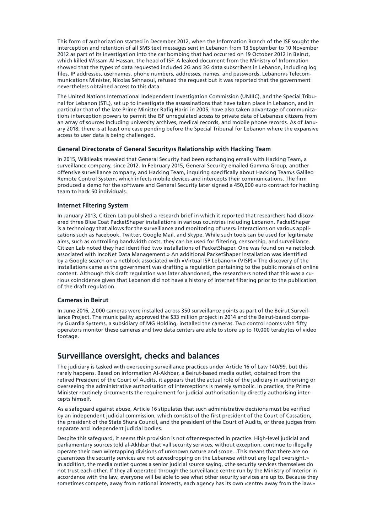This form of authorization started in December 2012, when the Information Branch of the ISF sought the interception and retention of all SMS text messages sent in Lebanon from 13 September to 10 November 2012 as part of its investigation into the car bombing that had occurred on 19 October 2012 in Beirut, which killed Wissam Al Hassan, the head of ISF. A leaked document from the Ministry of Information showed that the types of data requested included 2G and 3G data subscribers in Lebanon, including log files, IP addresses, usernames, phone numbers, addresses, names, and passwords. Lebanon›s Telecommunications Minister, Nicolas Sehnaoui, refused the request but it was reported that the government nevertheless obtained access to this data.

The United Nations International Independent Investigation Commission (UNIIIC), and the Special Tribunal for Lebanon (STL), set up to investigate the assassinations that have taken place in Lebanon, and in particular that of the late Prime Minister Rafiq Hariri in 2005, have also taken advantage of communications interception powers to permit the ISF unregulated access to private data of Lebanese citizens from an array of sources including university archives, medical records, and mobile phone records. As of January 2018, there is at least one case pending before the Special Tribunal for Lebanon where the expansive access to user data is being challenged.

#### **General Directorate of General Security›s Relationship with Hacking Team**

In 2015, Wikileaks revealed that General Security had been exchanging emails with Hacking Team, a surveillance company, since 2012. In February 2015, General Security emailed Gamma Group, another offensive surveillance company, and Hacking Team, inquiring specifically about Hacking Team›s Galileo Remote Control System, which infects mobile devices and intercepts their communications. The firm produced a demo for the software and General Security later signed a 450,000 euro contract for hacking team to hack 50 individuals.

#### **Internet Filtering System**

In January 2013, Citizen Lab published a research brief in which it reported that researchers had discovered three Blue Coat PacketShaper installations in various countries including Lebanon. PacketShaper is a technology that allows for the surveillance and monitoring of users> interactions on various applications such as Facebook, Twitter, Google Mail, and Skype. While such tools can be used for legitimate aims, such as controlling bandwidth costs, they can be used for filtering, censorship, and surveillance. Citizen Lab noted they had identified two installations of PacketShaper. One was found on «a netblock associated with IncoNet Data Management.» An additional PacketShaper installation was identified by a Google search on a netblock associated with «Virtual ISP Lebanon» (VISP).» The discovery of the installations came as the government was drafting a regulation pertaining to the public morals of online content. Although this draft regulation was later abandoned, the researchers noted that this was a curious coincidence given that Lebanon did not have a history of internet filtering prior to the publication of the draft regulation.

#### **Cameras in Beirut**

In June 2016, 2,000 cameras were installed across 350 surveillance points as part of the Beirut Surveillance Project. The municipality approved the \$33 million project in 2014 and the Beirut-based company Guardia Systems, a subsidiary of MG Holding, installed the cameras. Two control rooms with fifty operators monitor these cameras and two data centers are able to store up to 10,000 terabytes of video footage.

#### **Surveillance oversight, checks and balances**

The judiciary is tasked with overseeing surveillance practices under Article 16 of Law 140/99, but this rarely happens. Based on information Al-Akhbar, a Beirut-based media outlet, obtained from the retired President of the Court of Audits, it appears that the actual role of the judiciary in authorising or overseeing the administrative authorisation of interceptions is merely symbolic. In practice, the Prime Minister routinely circumvents the requirement for judicial authorisation by directly authorising intercepts himself.

As a safeguard against abuse, Article 16 stipulates that such administrative decisions must be verified by an independent judicial commission, which consists of the first president of the Court of Cassation, the president of the State Shura Council, and the president of the Court of Audits, or three judges from separate and independent judicial bodies.

Despite this safeguard, it seems this provision is not oftenrespected in practice. High-level judicial and parliamentary sources told al-Akhbar that «all security services, without exception, continue to illegally operate their own wiretapping divisions of unknown nature and scope…This means that there are no guarantees the security services are not eavesdropping on the Lebanese without any legal oversight.» In addition, the media outlet quotes a senior judicial source saying, «the security services themselves do not trust each other. If they all operated through the surveillance centre run by the Ministry of Interior in accordance with the law, everyone will be able to see what other security services are up to. Because they sometimes compete, away from national interests, each agency has its own ‹centre› away from the law.»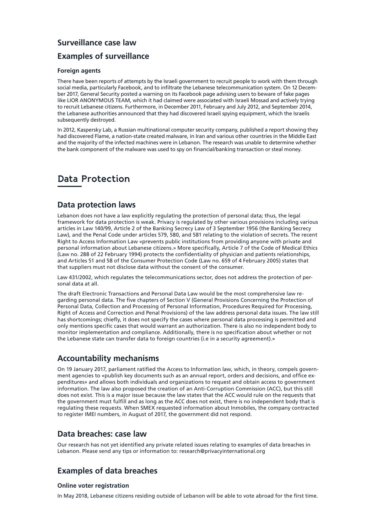# **Surveillance case law**

## **Examples of surveillance**

#### **Foreign agents**

There have been reports of attempts by the Israeli government to recruit people to work with them through social media, particularly Facebook, and to infiltrate the Lebanese telecommunication system. On 12 December 2017, General Security posted a warning on its Facebook page advising users to beware of fake pages like LIOR ANONYMOUS TEAM, which it had claimed were associated with Israeli Mossad and actively trying to recruit Lebanese citizens. Furthermore, in December 2011, February and July 2012, and September 2014, the Lebanese authorities announced that they had discovered Israeli spying equipment, which the Israelis subsequently destroyed.

In 2012, Kaspersky Lab, a Russian multinational computer security company, published a report showing they had discovered Flame, a nation-state created malware, in Iran and various other countries in the Middle East and the majority of the infected machines were in Lebanon. The research was unable to determine whether the bank component of the malware was used to spy on financial/banking transaction or steal money.

# **Data Protection**

#### **Data protection laws**

Lebanon does not have a law explicitly regulating the protection of personal data; thus, the legal framework for data protection is weak. Privacy is regulated by other various provisions including various articles in Law 140/99, Article 2 of the Banking Secrecy Law of 3 September 1956 (the Banking Secrecy Law), and the Penal Code under articles 579, 580, and 581 relating to the violation of secrets. The recent Right to Access Information Law «prevents public institutions from providing anyone with private and personal information about Lebanese citizens.» More specifically, Article 7 of the Code of Medical Ethics (Law no. 288 of 22 February 1994) protects the confidentiality of physician and patients relationships, and Articles 51 and 58 of the Consumer Protection Code (Law no. 659 of 4 February 2005) states that that suppliers must not disclose data without the consent of the consumer.

Law 431/2002, which regulates the telecommunications sector, does not address the protection of personal data at all.

The draft Electronic Transactions and Personal Data Law would be the most comprehensive law regarding personal data. The five chapters of Section V (General Provisions Concerning the Protection of Personal Data, Collection and Processing of Personal Information, Procedures Required for Processing, Right of Access and Correction and Penal Provisions) of the law address personal data issues. The law still has shortcomings; chiefly, it does not specify the cases where personal data processing is permitted and only mentions specific cases that would warrant an authorization. There is also no independent body to monitor implementation and compliance. Additionally, there is no specification about whether or not the Lebanese state can transfer data to foreign countries (i.e in a security agreement).»

### **Accountability mechanisms**

On 19 January 2017, parliament ratified the Access to Information law, which, in theory, compels government agencies to «publish key documents such as an annual report, orders and decisions, and office expenditures» and allows both individuals and organizations to request and obtain access to government information. The law also proposed the creation of an Anti-Corruption Commission (ACC), but this still does not exist. This is a major issue because the law states that the ACC would rule on the requests that the government must fulfill and as long as the ACC does not exist, there is no independent body that is regulating these requests. When SMEX requested information about Inmobiles, the company contracted to register IMEI numbers, in August of 2017, the government did not respond.

### **Data breaches: case law**

Our research has not yet identified any private related issues relating to examples of data breaches in Lebanon. Please send any tips or information to: research@privacyinternational.org

# **Examples of data breaches**

#### **Online voter registration**

In May 2018, Lebanese citizens residing outside of Lebanon will be able to vote abroad for the first time.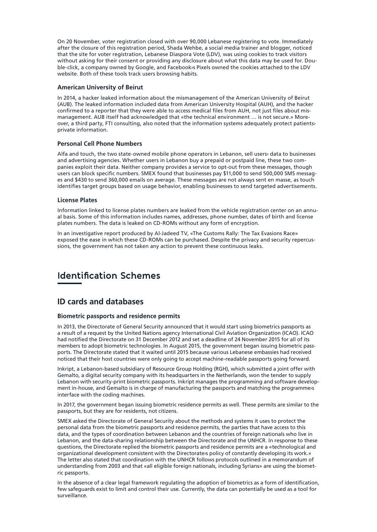On 20 November, voter registration closed with over 90,000 Lebanese registering to vote. Immediately after the closure of this registration period, Shada Wehbe, a social media trainer and blogger, noticed that the site for voter registration, Lebanese Diaspora Vote (LDV), was using cookies to track visitors without asking for their consent or providing any disclosure about what this data may be used for. Double-click, a company owned by Google, and Facebook›s Pixels owned the cookies attached to the LDV website. Both of these tools track users browsing habits.

#### **American University of Beirut**

In 2014, a hacker leaked information about the mismanagement of the American University of Beirut (AUB). The leaked information included data from American University Hospital (AUH), and the hacker confirmed to a reporter that they were able to access medical files from AUH, not just files about mismanagement. AUB itself had acknowledged that «the technical environment … is not secure.» Moreover, a third party, FTI consulting, also noted that the information systems adequately protect patients› private information.

#### **Personal Cell Phone Numbers**

Alfa and touch, the two state-owned mobile phone operators in Lebanon, sell users› data to businesses and advertising agencies. Whether users in Lebanon buy a prepaid or postpaid line, these two companies exploit their data. Neither company provides a service to opt-out from these messages, though users can block specific numbers. SMEX found that businesses pay \$11,000 to send 500,000 SMS messages and \$430 to send 360,000 emails on average. These messages are not always sent en masse, as touch identifies target groups based on usage behavior, enabling businesses to send targeted advertisements.

#### **License Plates**

Information linked to license plates numbers are leaked from the vehicle registration center on an annual basis. Some of this information includes names, addresses, phone number, dates of birth and license plates numbers. The data is leaked on CD-ROMs without any form of encryption.

In an investigative report produced by Al-Jadeed TV, «The Customs Rally: The Tax Evasions Race» exposed the ease in which these CD-ROMs can be purchased. Despite the privacy and security repercussions, the government has not taken any action to prevent these continuous leaks.

# **Identification Schemes**

#### **ID cards and databases**

#### **Biometric passports and residence permits**

In 2013, the Directorate of General Security announced that it would start using biometrics passports as a result of a request by the United Nations agency International Civil Aviation Organization (ICAO). ICAO had notified the Directorate on 31 December 2012 and set a deadline of 24 November 2015 for all of its members to adopt biometric technologies. In August 2015, the government began issuing biometric passports. The Directorate stated that it waited until 2015 because various Lebanese embassies had received noticed that their host countries were only going to accept machine-readable passports going forward.

Inkript, a Lebanon-based subsidiary of Resource Group Holding (RGH), which submitted a joint offer with Gemalto, a digital security company with its headquarters in the Netherlands, won the tender to supply Lebanon with security-print biometric passports. Inkript manages the programming and software development in-house, and Gemalto is in charge of manufacturing the passports and matching the programme›s interface with the coding machines.

In 2017, the government began issuing biometric residence permits as well. These permits are similar to the passports, but they are for residents, not citizens.

SMEX asked the Directorate of General Security about the methods and systems it uses to protect the personal data from the biometric passports and residence permits, the parties that have access to this data, and the types of coordination between Lebanon and the countries of foreign nationals who live in Lebanon, and the data-sharing relationship between the Directorate and the UNHCR. In response to these questions, the Directorate replied the biometric passports and residence permits are a «technological and organizational development consistent with the Directorate is policy of constantly developing its work.» The letter also stated that coordination with the UNHCR follows protocols outlined in a memorandum of understanding from 2003 and that «all eligible foreign nationals, including Syrians» are using the biometric passports.

In the absence of a clear legal framework regulating the adoption of biometrics as a form of identification, few safeguards exist to limit and control their use. Currently, the data can potentially be used as a tool for surveillance.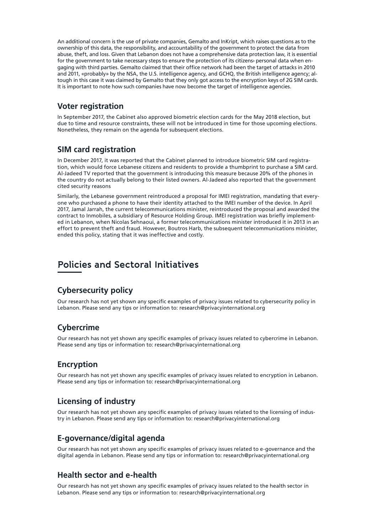An additional concern is the use of private companies, Gemalto and InKript, which raises questions as to the ownership of this data, the responsibility, and accountability of the government to protect the data from abuse, theft, and loss. Given that Lebanon does not have a comprehensive data protection law, it is essential for the government to take necessary steps to ensure the protection of its citizens personal data when engaging with third parties. Gemalto claimed that their office network had been the target of attacks in 2010 and 2011, «probably» by the NSA, the U.S. intelligence agency, and GCHQ, the British intelligence agency; altough in this case it was claimed by Gemalto that they only got access to the encryption keys of 2G SIM cards. It is important to note how such companies have now become the target of intelligence agencies.

#### **Voter registration**

In September 2017, the Cabinet also approved biometric election cards for the May 2018 election, but due to time and resource constraints, these will not be introduced in time for those upcoming elections. Nonetheless, they remain on the agenda for subsequent elections.

### **SIM card registration**

In December 2017, it was reported that the Cabinet planned to introduce biometric SIM card registration, which would force Lebanese citizens and residents to provide a thumbprint to purchase a SIM card. Al-Jadeed TV reported that the government is introducing this measure because 20% of the phones in the country do not actually belong to their listed owners. Al-Jadeed also reported that the government cited security reasons

Similarly, the Lebanese government reintroduced a proposal for IMEI registration, mandating that everyone who purchased a phone to have their identity attached to the IMEI number of the device. In April 2017, Jamal Jarrah, the current telecommunications minister, reintroduced the proposal and awarded the contract to Inmobiles, a subsidiary of Resource Holding Group. IMEI registration was briefly implemented in Lebanon, when Nicolas Sehnaoui, a former telecommunications minister introduced it in 2013 in an effort to prevent theft and fraud. However, Boutros Harb, the subsequent telecommunications minister, ended this policy, stating that it was ineffective and costly.

# **Policies and Sectoral Initiatives**

### **Cybersecurity policy**

Our research has not yet shown any specific examples of privacy issues related to cybersecurity policy in Lebanon. Please send any tips or information to: research@privacyinternational.org

# **Cybercrime**

Our research has not yet shown any specific examples of privacy issues related to cybercrime in Lebanon. Please send any tips or information to: research@privacyinternational.org

### **Encryption**

Our research has not yet shown any specific examples of privacy issues related to encryption in Lebanon. Please send any tips or information to: research@privacyinternational.org

# **Licensing of industry**

Our research has not yet shown any specific examples of privacy issues related to the licensing of industry in Lebanon. Please send any tips or information to: research@privacyinternational.org

# **E-governance/digital agenda**

Our research has not yet shown any specific examples of privacy issues related to e-governance and the digital agenda in Lebanon. Please send any tips or information to: research@privacyinternational.org

### **Health sector and e-health**

Our research has not yet shown any specific examples of privacy issues related to the health sector in Lebanon. Please send any tips or information to: research@privacyinternational.org